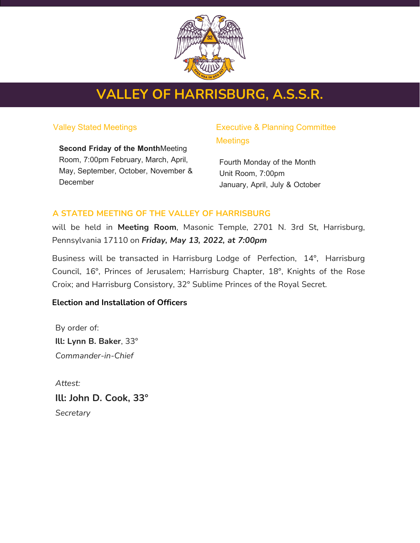

# **VALLEY OF HARRISBURG, A.S.S.R.**

## Valley Stated Meetings

**Second Friday of the Month**Meeting Room, 7:00pm February, March, April, May, September, October, November & **December** 

# Executive & Planning Committee **Meetings**

Fourth Monday of the Month Unit Room, 7:00pm January, April, July & October

# **A STATED MEETING OF THE VALLEY OF HARRISBURG**

will be held in **Meeting Room**, Masonic Temple, 2701 N. 3rd St, Harrisburg, Pennsylvania 17110 on *Friday, May 13, 2022, at 7:00pm*

Business will be transacted in Harrisburg Lodge of Perfection, 14°, Harrisburg Council, 16°, Princes of Jerusalem; Harrisburg Chapter, 18°, Knights of the Rose Croix; and Harrisburg Consistory, 32° Sublime Princes of the Royal Secret.

# **Election and Installation of Officers**

By order of: **Ill: Lynn B. Baker**, 33° *Commander-in-Chief*

*Attest:* **Ill: John D. Cook, 33°** *Secretary*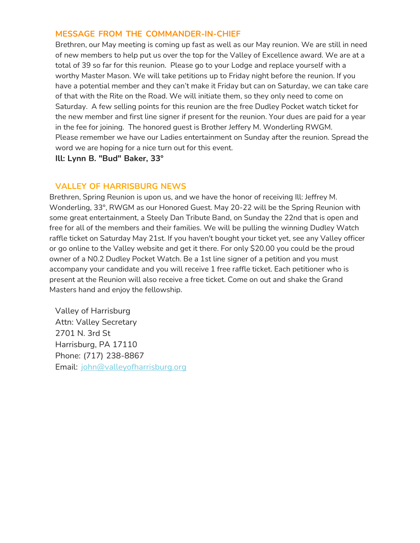## **MESSAGE FROM THE COMMANDER-IN-CHIEF**

Brethren, our May meeting is coming up fast as well as our May reunion. We are still in need of new members to help put us over the top for the Valley of Excellence award. We are at a total of 39 so far for this reunion. Please go to your Lodge and replace yourself with a worthy Master Mason. We will take petitions up to Friday night before the reunion. If you have a potential member and they can't make it Friday but can on Saturday, we can take care of that with the Rite on the Road. We will initiate them, so they only need to come on Saturday. A few selling points for this reunion are the free Dudley Pocket watch ticket for the new member and first line signer if present for the reunion. Your dues are paid for a year in the fee for joining. The honored guest is Brother Jeffery M. Wonderling RWGM. Please remember we have our Ladies entertainment on Sunday after the reunion. Spread the word we are hoping for a nice turn out for this event.

**Ill: Lynn B. "Bud" Baker, 33°**

## **VALLEY OF HARRISBURG NEWS**

Brethren, Spring Reunion is upon us, and we have the honor of receiving Ill: Jeffrey M. Wonderling, 33°, RWGM as our Honored Guest. May 20-22 will be the Spring Reunion with some great entertainment, a Steely Dan Tribute Band, on Sunday the 22nd that is open and free for all of the members and their families. We will be pulling the winning Dudley Watch raffle ticket on Saturday May 21st. If you haven't bought your ticket yet, see any Valley officer or go online to the Valley website and get it there. For only \$20.00 you could be the proud owner of a N0.2 Dudley Pocket Watch. Be a 1st line signer of a petition and you must accompany your candidate and you will receive 1 free raffle ticket. Each petitioner who is present at the Reunion will also receive a free ticket. Come on out and shake the Grand Masters hand and enjoy the fellowship.

Valley of Harrisburg Attn: Valley Secretary 2701 N. 3rd St Harrisburg, PA 17110 Phone: (717) 238-8867 Email: [john@valleyofharrisburg.org](mailto:john@valleyofharrisburg.org)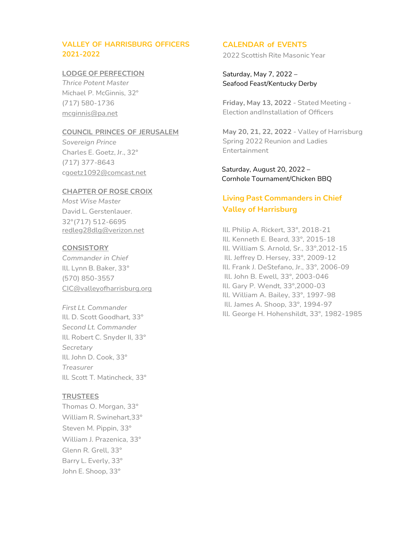### **VALLEY OF HARRISBURG OFFICERS 2021-2022**

#### **LODGE OF PERFECTION**

*Thrice Potent Master* Michael P. McGinnis, 32° (717) 580-1736 [mcginnis@pa.net](mailto:mcginnis@pa.net)

#### **COUNCIL PRINCES OF JERUSALEM**

*Sovereign Prince* Charles E. Goetz, Jr., 32° (717) 377-8643 [cgoetz1092@comcast.net](mailto:cgoetz1092@comcast.net)

#### **CHAPTER OF ROSE CROIX**

*Most Wise Master* David L. Gerstenlauer. 32°(717) 512-6695 [redleg28dlg@verizon.net](mailto:redleg28dlg@verizon.net)

#### **CONSISTORY**

*Commander in Chief* Ill. Lynn B. Baker, 33° (570) 850-3557 [CIC@valleyofharrisburg.org](mailto:CIC@valleyofharrisburg.org)

*First Lt. Commander* Ill. D. Scott Goodhart, 33° *Second Lt. Commander* Ill. Robert C. Snyder II, 33° *Secretary* Ill. John D. Cook, 33° *Treasurer* Ill. Scott T. Matincheck, 33°

#### **TRUSTEES**

Thomas O. Morgan, 33° William R. Swinehart,33° Steven M. Pippin, 33° William J. Prazenica, 33° Glenn R. Grell, 33° Barry L. Everly, 33° John E. Shoop, 33°

#### **CALENDAR of EVENTS**

2022 Scottish Rite Masonic Year

Saturday, May 7, 2022 – Seafood Feast/Kentucky Derby

**Friday, May 13, 2022** - Stated Meeting - Election andInstallation of Officers

**May 20, 21, 22, 2022** - Valley of Harrisburg Spring 2022 Reunion and Ladies Entertainment

 Saturday, August 20, 2022 – Cornhole Tournament/Chicken BBQ

# **Living Past Commanders in Chief Valley of Harrisburg**

Ill. Philip A. Rickert, 33°, 2018-21 Ill. Kenneth E. Beard, 33°, 2015-18 Ill. William S. Arnold, Sr., 33°,2012-15 Ill. Jeffrey D. Hersey, 33°, 2009-12 Ill. Frank J. DeStefano, Jr., 33°, 2006-09 Ill. John B. Ewell, 33°, 2003-046 Ill. Gary P. Wendt, 33°,2000-03 Ill. William A. Bailey, 33°, 1997-98 Ill. James A. Shoop, 33°, 1994-97 Ill. George H. Hohenshildt, 33°, 1982-1985